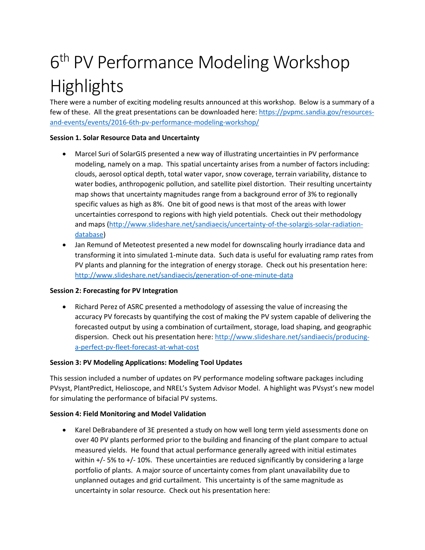# 6<sup>th</sup> PV Performance Modeling Workshop Highlights

There were a number of exciting modeling results announced at this workshop. Below is a summary of a few of these. All the great presentations can be downloaded here: [https://pvpmc.sandia.gov/resources](https://pvpmc.sandia.gov/resources-and-events/events/2016-6th-pv-performance-modeling-workshop/)[and-events/events/2016-6th-pv-performance-modeling-workshop/](https://pvpmc.sandia.gov/resources-and-events/events/2016-6th-pv-performance-modeling-workshop/)

#### **Session 1. Solar Resource Data and Uncertainty**

- Marcel Suri of SolarGIS presented a new way of illustrating uncertainties in PV performance modeling, namely on a map. This spatial uncertainty arises from a number of factors including: clouds, aerosol optical depth, total water vapor, snow coverage, terrain variability, distance to water bodies, anthropogenic pollution, and satellite pixel distortion. Their resulting uncertainty map shows that uncertainty magnitudes range from a background error of 3% to regionally specific values as high as 8%. One bit of good news is that most of the areas with lower uncertainties correspond to regions with high yield potentials. Check out their methodology and maps [\(http://www.slideshare.net/sandiaecis/uncertainty-of-the-solargis-solar-radiation](http://www.slideshare.net/sandiaecis/uncertainty-of-the-solargis-solar-radiation-database)[database\)](http://www.slideshare.net/sandiaecis/uncertainty-of-the-solargis-solar-radiation-database)
- Jan Remund of Meteotest presented a new model for downscaling hourly irradiance data and transforming it into simulated 1-minute data. Such data is useful for evaluating ramp rates from PV plants and planning for the integration of energy storage. Check out his presentation here: <http://www.slideshare.net/sandiaecis/generation-of-one-minute-data>

## **Session 2: Forecasting for PV Integration**

• Richard Perez of ASRC presented a methodology of assessing the value of increasing the accuracy PV forecasts by quantifying the cost of making the PV system capable of delivering the forecasted output by using a combination of curtailment, storage, load shaping, and geographic dispersion. Check out his presentation here: [http://www.slideshare.net/sandiaecis/producing](http://www.slideshare.net/sandiaecis/producing-a-perfect-pv-fleet-forecast-at-what-cost)[a-perfect-pv-fleet-forecast-at-what-cost](http://www.slideshare.net/sandiaecis/producing-a-perfect-pv-fleet-forecast-at-what-cost)

## **Session 3: PV Modeling Applications: Modeling Tool Updates**

This session included a number of updates on PV performance modeling software packages including PVsyst, PlantPredict, Helioscope, and NREL's System Advisor Model. A highlight was PVsyst's new model for simulating the performance of bifacial PV systems.

## **Session 4: Field Monitoring and Model Validation**

• Karel DeBrabandere of 3E presented a study on how well long term yield assessments done on over 40 PV plants performed prior to the building and financing of the plant compare to actual measured yields. He found that actual performance generally agreed with initial estimates within  $+/-$  5% to  $+/-$  10%. These uncertainties are reduced significantly by considering a large portfolio of plants. A major source of uncertainty comes from plant unavailability due to unplanned outages and grid curtailment. This uncertainty is of the same magnitude as uncertainty in solar resource. Check out his presentation here: